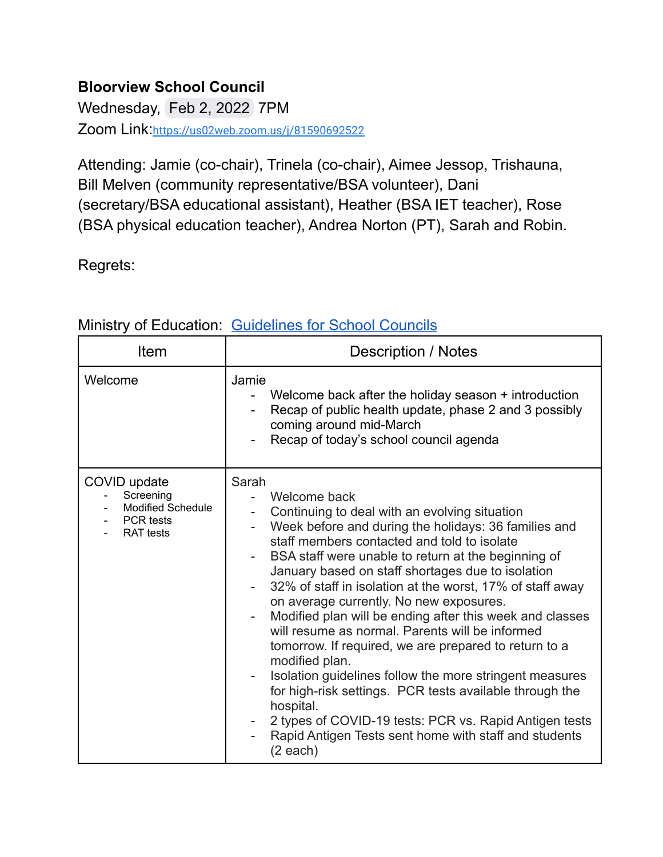## **Bloorview School Council**

Wednesday, Feb 2, 2022 7PM Zoom Link:<https://us02web.zoom.us/j/81590692522>

Attending: Jamie (co-chair), Trinela (co-chair), Aimee Jessop, Trishauna, Bill Melven (community representative/BSA volunteer), Dani (secretary/BSA educational assistant), Heather (BSA IET teacher), Rose (BSA physical education teacher), Andrea Norton (PT), Sarah and Robin.

Regrets:

| Item                                                                                   | <b>Description / Notes</b>                                                                                                                                                                                                                                                                                                                                                                                                                                                                                                                                                                                                                                                                                                                                                                                                                                    |
|----------------------------------------------------------------------------------------|---------------------------------------------------------------------------------------------------------------------------------------------------------------------------------------------------------------------------------------------------------------------------------------------------------------------------------------------------------------------------------------------------------------------------------------------------------------------------------------------------------------------------------------------------------------------------------------------------------------------------------------------------------------------------------------------------------------------------------------------------------------------------------------------------------------------------------------------------------------|
| Welcome                                                                                | Jamie<br>Welcome back after the holiday season + introduction<br>Recap of public health update, phase 2 and 3 possibly<br>coming around mid-March<br>Recap of today's school council agenda                                                                                                                                                                                                                                                                                                                                                                                                                                                                                                                                                                                                                                                                   |
| COVID update<br>Screening<br><b>Modified Schedule</b><br>PCR tests<br><b>RAT</b> tests | Sarah<br>Welcome back<br>Continuing to deal with an evolving situation<br>Week before and during the holidays: 36 families and<br>staff members contacted and told to isolate<br>BSA staff were unable to return at the beginning of<br>January based on staff shortages due to isolation<br>32% of staff in isolation at the worst, 17% of staff away<br>on average currently. No new exposures.<br>Modified plan will be ending after this week and classes<br>will resume as normal. Parents will be informed<br>tomorrow. If required, we are prepared to return to a<br>modified plan.<br>Isolation guidelines follow the more stringent measures<br>for high-risk settings. PCR tests available through the<br>hospital.<br>2 types of COVID-19 tests: PCR vs. Rapid Antigen tests<br>Rapid Antigen Tests sent home with staff and students<br>(2 each) |

## Ministry of Education: [Guidelines](http://www.edu.gov.on.ca/eng/general/elemsec/council/guide.html) for School Councils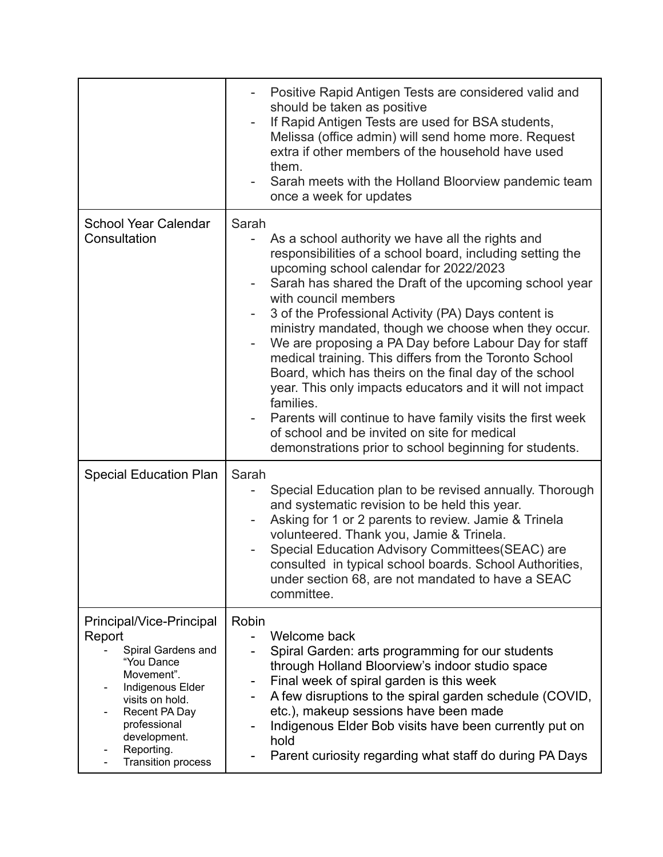|                                                                                                                                                                                                                         | Positive Rapid Antigen Tests are considered valid and<br>should be taken as positive<br>If Rapid Antigen Tests are used for BSA students,<br>Melissa (office admin) will send home more. Request<br>extra if other members of the household have used<br>them.<br>Sarah meets with the Holland Bloorview pandemic team<br>once a week for updates                                                                                                                                                                                                                                                                                                                                                                                                                                               |
|-------------------------------------------------------------------------------------------------------------------------------------------------------------------------------------------------------------------------|-------------------------------------------------------------------------------------------------------------------------------------------------------------------------------------------------------------------------------------------------------------------------------------------------------------------------------------------------------------------------------------------------------------------------------------------------------------------------------------------------------------------------------------------------------------------------------------------------------------------------------------------------------------------------------------------------------------------------------------------------------------------------------------------------|
| <b>School Year Calendar</b><br>Consultation                                                                                                                                                                             | Sarah<br>As a school authority we have all the rights and<br>responsibilities of a school board, including setting the<br>upcoming school calendar for 2022/2023<br>Sarah has shared the Draft of the upcoming school year<br>with council members<br>3 of the Professional Activity (PA) Days content is<br>ministry mandated, though we choose when they occur.<br>We are proposing a PA Day before Labour Day for staff<br>medical training. This differs from the Toronto School<br>Board, which has theirs on the final day of the school<br>year. This only impacts educators and it will not impact<br>families.<br>Parents will continue to have family visits the first week<br>of school and be invited on site for medical<br>demonstrations prior to school beginning for students. |
| <b>Special Education Plan</b>                                                                                                                                                                                           | Sarah<br>Special Education plan to be revised annually. Thorough<br>and systematic revision to be held this year.<br>Asking for 1 or 2 parents to review. Jamie & Trinela<br>volunteered. Thank you, Jamie & Trinela.<br>Special Education Advisory Committees (SEAC) are<br>consulted in typical school boards. School Authorities,<br>under section 68, are not mandated to have a SEAC<br>committee.                                                                                                                                                                                                                                                                                                                                                                                         |
| Principal/Vice-Principal<br>Report<br>Spiral Gardens and<br>"You Dance<br>Movement".<br>Indigenous Elder<br>visits on hold.<br>Recent PA Day<br>professional<br>development.<br>Reporting.<br><b>Transition process</b> | Robin<br>Welcome back<br>Spiral Garden: arts programming for our students<br>through Holland Bloorview's indoor studio space<br>Final week of spiral garden is this week<br>۰<br>A few disruptions to the spiral garden schedule (COVID,<br>etc.), makeup sessions have been made<br>Indigenous Elder Bob visits have been currently put on<br>hold<br>Parent curiosity regarding what staff do during PA Days                                                                                                                                                                                                                                                                                                                                                                                  |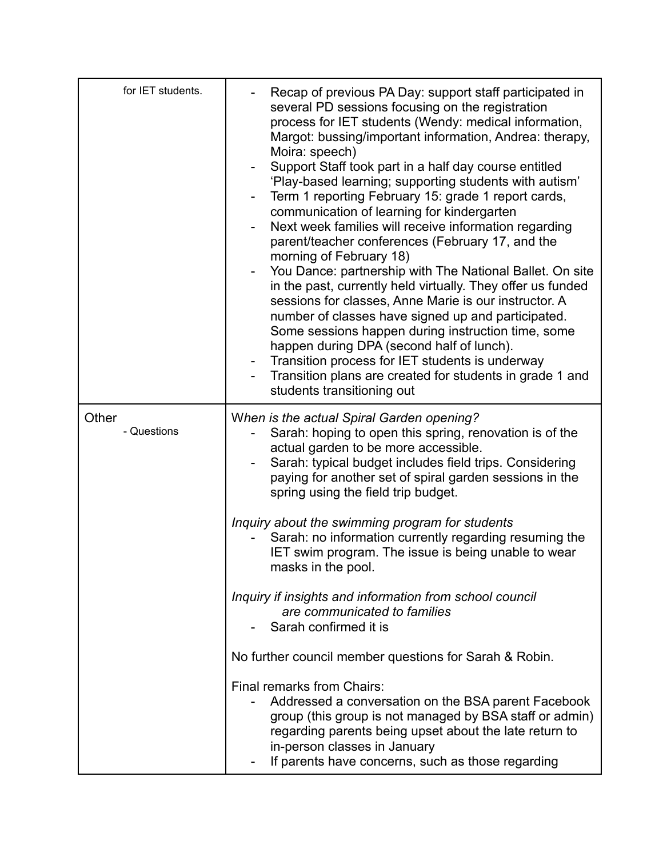| for IET students.    | Recap of previous PA Day: support staff participated in<br>several PD sessions focusing on the registration<br>process for IET students (Wendy: medical information,<br>Margot: bussing/important information, Andrea: therapy,<br>Moira: speech)<br>Support Staff took part in a half day course entitled<br>'Play-based learning; supporting students with autism'<br>Term 1 reporting February 15: grade 1 report cards,<br>communication of learning for kindergarten<br>Next week families will receive information regarding<br>parent/teacher conferences (February 17, and the<br>morning of February 18)<br>You Dance: partnership with The National Ballet. On site<br>in the past, currently held virtually. They offer us funded<br>sessions for classes, Anne Marie is our instructor. A<br>number of classes have signed up and participated.<br>Some sessions happen during instruction time, some<br>happen during DPA (second half of lunch).<br>Transition process for IET students is underway<br>Transition plans are created for students in grade 1 and<br>students transitioning out |
|----------------------|-------------------------------------------------------------------------------------------------------------------------------------------------------------------------------------------------------------------------------------------------------------------------------------------------------------------------------------------------------------------------------------------------------------------------------------------------------------------------------------------------------------------------------------------------------------------------------------------------------------------------------------------------------------------------------------------------------------------------------------------------------------------------------------------------------------------------------------------------------------------------------------------------------------------------------------------------------------------------------------------------------------------------------------------------------------------------------------------------------------|
| Other<br>- Questions | When is the actual Spiral Garden opening?<br>Sarah: hoping to open this spring, renovation is of the<br>actual garden to be more accessible.<br>Sarah: typical budget includes field trips. Considering<br>paying for another set of spiral garden sessions in the<br>spring using the field trip budget.                                                                                                                                                                                                                                                                                                                                                                                                                                                                                                                                                                                                                                                                                                                                                                                                   |
|                      | Inquiry about the swimming program for students<br>Sarah: no information currently regarding resuming the<br>IET swim program. The issue is being unable to wear<br>masks in the pool.                                                                                                                                                                                                                                                                                                                                                                                                                                                                                                                                                                                                                                                                                                                                                                                                                                                                                                                      |
|                      | Inquiry if insights and information from school council<br>are communicated to families<br>Sarah confirmed it is                                                                                                                                                                                                                                                                                                                                                                                                                                                                                                                                                                                                                                                                                                                                                                                                                                                                                                                                                                                            |
|                      | No further council member questions for Sarah & Robin.                                                                                                                                                                                                                                                                                                                                                                                                                                                                                                                                                                                                                                                                                                                                                                                                                                                                                                                                                                                                                                                      |
|                      | Final remarks from Chairs:<br>Addressed a conversation on the BSA parent Facebook<br>group (this group is not managed by BSA staff or admin)<br>regarding parents being upset about the late return to<br>in-person classes in January<br>If parents have concerns, such as those regarding                                                                                                                                                                                                                                                                                                                                                                                                                                                                                                                                                                                                                                                                                                                                                                                                                 |